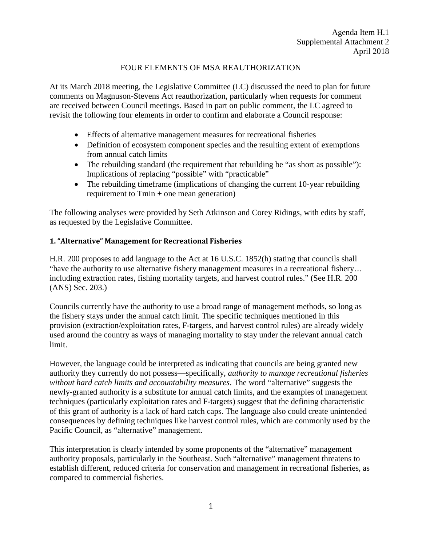### FOUR ELEMENTS OF MSA REAUTHORIZATION

At its March 2018 meeting, the Legislative Committee (LC) discussed the need to plan for future comments on Magnuson-Stevens Act reauthorization, particularly when requests for comment are received between Council meetings. Based in part on public comment, the LC agreed to revisit the following four elements in order to confirm and elaborate a Council response:

- Effects of alternative management measures for recreational fisheries
- Definition of ecosystem component species and the resulting extent of exemptions from annual catch limits
- The rebuilding standard (the requirement that rebuilding be "as short as possible"): Implications of replacing "possible" with "practicable"
- The rebuilding timeframe (implications of changing the current 10-year rebuilding requirement to Tmin + one mean generation)

The following analyses were provided by Seth Atkinson and Corey Ridings, with edits by staff, as requested by the Legislative Committee.

#### **1. "Alternative" Management for Recreational Fisheries**

H.R. 200 proposes to add language to the Act at 16 U.S.C. 1852(h) stating that councils shall "have the authority to use alternative fishery management measures in a recreational fishery… including extraction rates, fishing mortality targets, and harvest control rules." (See H.R. 200 (ANS) Sec. 203.)

Councils currently have the authority to use a broad range of management methods, so long as the fishery stays under the annual catch limit. The specific techniques mentioned in this provision (extraction/exploitation rates, F-targets, and harvest control rules) are already widely used around the country as ways of managing mortality to stay under the relevant annual catch limit.

However, the language could be interpreted as indicating that councils are being granted new authority they currently do not possess—specifically, *authority to manage recreational fisheries without hard catch limits and accountability measures*. The word "alternative" suggests the newly-granted authority is a substitute for annual catch limits, and the examples of management techniques (particularly exploitation rates and F-targets) suggest that the defining characteristic of this grant of authority is a lack of hard catch caps. The language also could create unintended consequences by defining techniques like harvest control rules, which are commonly used by the Pacific Council, as "alternative" management.

This interpretation is clearly intended by some proponents of the "alternative" management authority proposals, particularly in the Southeast. Such "alternative" management threatens to establish different, reduced criteria for conservation and management in recreational fisheries, as compared to commercial fisheries.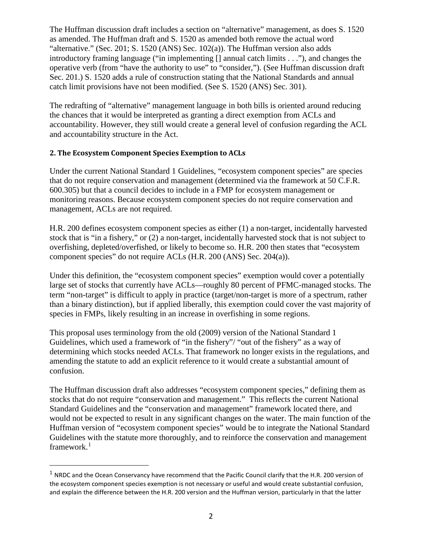The Huffman discussion draft includes a section on "alternative" management, as does S. 1520 as amended. The Huffman draft and S. 1520 as amended both remove the actual word "alternative." (Sec. 201; S. 1520 (ANS) Sec. 102(a)). The Huffman version also adds introductory framing language ("in implementing [] annual catch limits . . ."), and changes the operative verb (from "have the authority to use" to "consider,"). (See Huffman discussion draft Sec. 201.) S. 1520 adds a rule of construction stating that the National Standards and annual catch limit provisions have not been modified. (See S. 1520 (ANS) Sec. 301).

The redrafting of "alternative" management language in both bills is oriented around reducing the chances that it would be interpreted as granting a direct exemption from ACLs and accountability. However, they still would create a general level of confusion regarding the ACL and accountability structure in the Act.

### **2. The Ecosystem Component Species Exemption to ACLs**

Under the current National Standard 1 Guidelines, "ecosystem component species" are species that do not require conservation and management (determined via the framework at 50 C.F.R. 600.305) but that a council decides to include in a FMP for ecosystem management or monitoring reasons. Because ecosystem component species do not require conservation and management, ACLs are not required.

H.R. 200 defines ecosystem component species as either (1) a non-target, incidentally harvested stock that is "in a fishery," or (2) a non-target, incidentally harvested stock that is not subject to overfishing, depleted/overfished, or likely to become so. H.R. 200 then states that "ecosystem component species" do not require ACLs (H.R. 200 (ANS) Sec. 204(a)).

Under this definition, the "ecosystem component species" exemption would cover a potentially large set of stocks that currently have ACLs—roughly 80 percent of PFMC-managed stocks. The term "non-target" is difficult to apply in practice (target/non-target is more of a spectrum, rather than a binary distinction), but if applied liberally, this exemption could cover the vast majority of species in FMPs, likely resulting in an increase in overfishing in some regions.

This proposal uses terminology from the old (2009) version of the National Standard 1 Guidelines, which used a framework of "in the fishery"/ "out of the fishery" as a way of determining which stocks needed ACLs. That framework no longer exists in the regulations, and amending the statute to add an explicit reference to it would create a substantial amount of confusion.

The Huffman discussion draft also addresses "ecosystem component species," defining them as stocks that do not require "conservation and management." This reflects the current National Standard Guidelines and the "conservation and management" framework located there, and would not be expected to result in any significant changes on the water. The main function of the Huffman version of "ecosystem component species" would be to integrate the National Standard Guidelines with the statute more thoroughly, and to reinforce the conservation and management framework.<sup>[1](#page-1-0)</sup>

<span id="page-1-0"></span> $1$  NRDC and the Ocean Conservancy have recommend that the Pacific Council clarify that the H.R. 200 version of the ecosystem component species exemption is not necessary or useful and would create substantial confusion, and explain the difference between the H.R. 200 version and the Huffman version, particularly in that the latter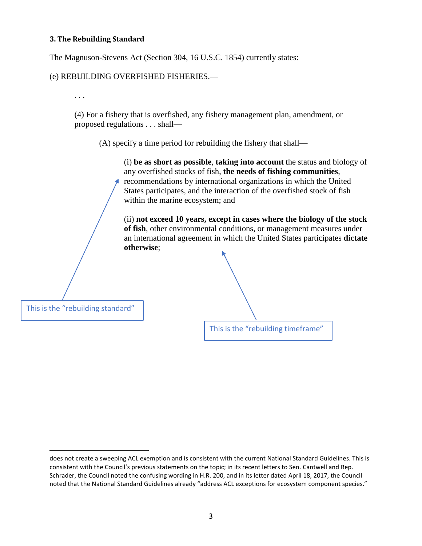#### **3. The Rebuilding Standard**

The Magnuson-Stevens Act (Section 304, 16 U.S.C. 1854) currently states:

#### (e) REBUILDING OVERFISHED FISHERIES.—

. . .

(4) For a fishery that is overfished, any fishery management plan, amendment, or proposed regulations . . . shall—

(A) specify a time period for rebuilding the fishery that shall—

(i) **be as short as possible**, **taking into account** the status and biology of any overfished stocks of fish, **the needs of fishing communities**, recommendations by international organizations in which the United States participates, and the interaction of the overfished stock of fish within the marine ecosystem; and

(ii) **not exceed 10 years, except in cases where the biology of the stock of fish**, other environmental conditions, or management measures under an international agreement in which the United States participates **dictate otherwise**;



This is the "rebuilding standard"

 $\overline{a}$ 

does not create a sweeping ACL exemption and is consistent with the current National Standard Guidelines. This is consistent with the Council's previous statements on the topic; in its recent letters to Sen. Cantwell and Rep. Schrader, the Council noted the confusing wording in H.R. 200, and in its letter dated April 18, 2017, the Council noted that the National Standard Guidelines already "address ACL exceptions for ecosystem component species."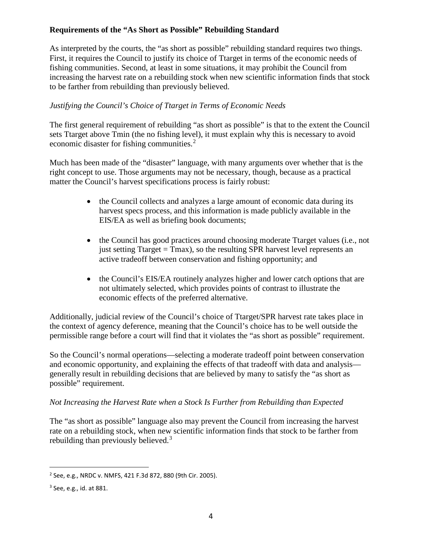# **Requirements of the "As Short as Possible" Rebuilding Standard**

As interpreted by the courts, the "as short as possible" rebuilding standard requires two things. First, it requires the Council to justify its choice of Ttarget in terms of the economic needs of fishing communities. Second, at least in some situations, it may prohibit the Council from increasing the harvest rate on a rebuilding stock when new scientific information finds that stock to be farther from rebuilding than previously believed.

## *Justifying the Council's Choice of Ttarget in Terms of Economic Needs*

The first general requirement of rebuilding "as short as possible" is that to the extent the Council sets Ttarget above Tmin (the no fishing level), it must explain why this is necessary to avoid economic disaster for fishing communities.<sup>[2](#page-3-0)</sup>

Much has been made of the "disaster" language, with many arguments over whether that is the right concept to use. Those arguments may not be necessary, though, because as a practical matter the Council's harvest specifications process is fairly robust:

- the Council collects and analyzes a large amount of economic data during its harvest specs process, and this information is made publicly available in the EIS/EA as well as briefing book documents;
- the Council has good practices around choosing moderate Ttarget values (i.e., not just setting Ttarget = Tmax), so the resulting SPR harvest level represents an active tradeoff between conservation and fishing opportunity; and
- the Council's EIS/EA routinely analyzes higher and lower catch options that are not ultimately selected, which provides points of contrast to illustrate the economic effects of the preferred alternative.

Additionally, judicial review of the Council's choice of Ttarget/SPR harvest rate takes place in the context of agency deference, meaning that the Council's choice has to be well outside the permissible range before a court will find that it violates the "as short as possible" requirement.

So the Council's normal operations—selecting a moderate tradeoff point between conservation and economic opportunity, and explaining the effects of that tradeoff with data and analysis generally result in rebuilding decisions that are believed by many to satisfy the "as short as possible" requirement.

### *Not Increasing the Harvest Rate when a Stock Is Further from Rebuilding than Expected*

The "as short as possible" language also may prevent the Council from increasing the harvest rate on a rebuilding stock, when new scientific information finds that stock to be farther from rebuilding than previously believed.<sup>[3](#page-3-1)</sup>

<span id="page-3-0"></span> <sup>2</sup> See, e.g., NRDC v. NMFS, 421 F.3d 872, 880 (9th Cir. 2005).

<span id="page-3-1"></span><sup>3</sup> See, e.g., id. at 881.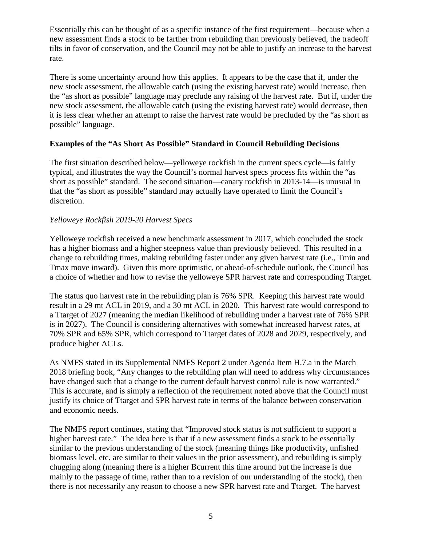Essentially this can be thought of as a specific instance of the first requirement—because when a new assessment finds a stock to be farther from rebuilding than previously believed, the tradeoff tilts in favor of conservation, and the Council may not be able to justify an increase to the harvest rate.

There is some uncertainty around how this applies. It appears to be the case that if, under the new stock assessment, the allowable catch (using the existing harvest rate) would increase, then the "as short as possible" language may preclude any raising of the harvest rate. But if, under the new stock assessment, the allowable catch (using the existing harvest rate) would decrease, then it is less clear whether an attempt to raise the harvest rate would be precluded by the "as short as possible" language.

### **Examples of the "As Short As Possible" Standard in Council Rebuilding Decisions**

The first situation described below—yelloweye rockfish in the current specs cycle—is fairly typical, and illustrates the way the Council's normal harvest specs process fits within the "as short as possible" standard. The second situation—canary rockfish in 2013-14—is unusual in that the "as short as possible" standard may actually have operated to limit the Council's discretion.

### *Yelloweye Rockfish 2019-20 Harvest Specs*

Yelloweye rockfish received a new benchmark assessment in 2017, which concluded the stock has a higher biomass and a higher steepness value than previously believed. This resulted in a change to rebuilding times, making rebuilding faster under any given harvest rate (i.e., Tmin and Tmax move inward). Given this more optimistic, or ahead-of-schedule outlook, the Council has a choice of whether and how to revise the yelloweye SPR harvest rate and corresponding Ttarget.

The status quo harvest rate in the rebuilding plan is 76% SPR. Keeping this harvest rate would result in a 29 mt ACL in 2019, and a 30 mt ACL in 2020. This harvest rate would correspond to a Ttarget of 2027 (meaning the median likelihood of rebuilding under a harvest rate of 76% SPR is in 2027). The Council is considering alternatives with somewhat increased harvest rates, at 70% SPR and 65% SPR, which correspond to Ttarget dates of 2028 and 2029, respectively, and produce higher ACLs.

As NMFS stated in its Supplemental NMFS Report 2 under Agenda Item H.7.a in the March 2018 briefing book, "Any changes to the rebuilding plan will need to address why circumstances have changed such that a change to the current default harvest control rule is now warranted." This is accurate, and is simply a reflection of the requirement noted above that the Council must justify its choice of Ttarget and SPR harvest rate in terms of the balance between conservation and economic needs.

The NMFS report continues, stating that "Improved stock status is not sufficient to support a higher harvest rate." The idea here is that if a new assessment finds a stock to be essentially similar to the previous understanding of the stock (meaning things like productivity, unfished biomass level, etc. are similar to their values in the prior assessment), and rebuilding is simply chugging along (meaning there is a higher Bcurrent this time around but the increase is due mainly to the passage of time, rather than to a revision of our understanding of the stock), then there is not necessarily any reason to choose a new SPR harvest rate and Ttarget. The harvest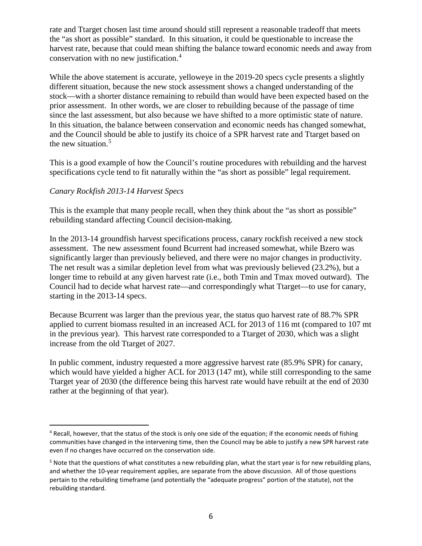rate and Ttarget chosen last time around should still represent a reasonable tradeoff that meets the "as short as possible" standard. In this situation, it could be questionable to increase the harvest rate, because that could mean shifting the balance toward economic needs and away from conservation with no new justification.[4](#page-5-0)

While the above statement is accurate, yelloweye in the 2019-20 specs cycle presents a slightly different situation, because the new stock assessment shows a changed understanding of the stock—with a shorter distance remaining to rebuild than would have been expected based on the prior assessment. In other words, we are closer to rebuilding because of the passage of time since the last assessment, but also because we have shifted to a more optimistic state of nature. In this situation, the balance between conservation and economic needs has changed somewhat, and the Council should be able to justify its choice of a SPR harvest rate and Ttarget based on the new situation.<sup>[5](#page-5-1)</sup>

This is a good example of how the Council's routine procedures with rebuilding and the harvest specifications cycle tend to fit naturally within the "as short as possible" legal requirement.

### *Canary Rockfish 2013-14 Harvest Specs*

This is the example that many people recall, when they think about the "as short as possible" rebuilding standard affecting Council decision-making.

In the 2013-14 groundfish harvest specifications process, canary rockfish received a new stock assessment. The new assessment found Bcurrent had increased somewhat, while Bzero was significantly larger than previously believed, and there were no major changes in productivity. The net result was a similar depletion level from what was previously believed (23.2%), but a longer time to rebuild at any given harvest rate (i.e., both Tmin and Tmax moved outward). The Council had to decide what harvest rate—and correspondingly what Ttarget—to use for canary, starting in the 2013-14 specs.

Because Bcurrent was larger than the previous year, the status quo harvest rate of 88.7% SPR applied to current biomass resulted in an increased ACL for 2013 of 116 mt (compared to 107 mt in the previous year). This harvest rate corresponded to a Ttarget of 2030, which was a slight increase from the old Ttarget of 2027.

In public comment, industry requested a more aggressive harvest rate (85.9% SPR) for canary, which would have yielded a higher ACL for 2013 (147 mt), while still corresponding to the same Ttarget year of 2030 (the difference being this harvest rate would have rebuilt at the end of 2030 rather at the beginning of that year).

<span id="page-5-0"></span><sup>&</sup>lt;sup>4</sup> Recall, however, that the status of the stock is only one side of the equation; if the economic needs of fishing communities have changed in the intervening time, then the Council may be able to justify a new SPR harvest rate even if no changes have occurred on the conservation side.

<span id="page-5-1"></span><sup>&</sup>lt;sup>5</sup> Note that the questions of what constitutes a new rebuilding plan, what the start year is for new rebuilding plans, and whether the 10-year requirement applies, are separate from the above discussion. All of those questions pertain to the rebuilding timeframe (and potentially the "adequate progress" portion of the statute), not the rebuilding standard.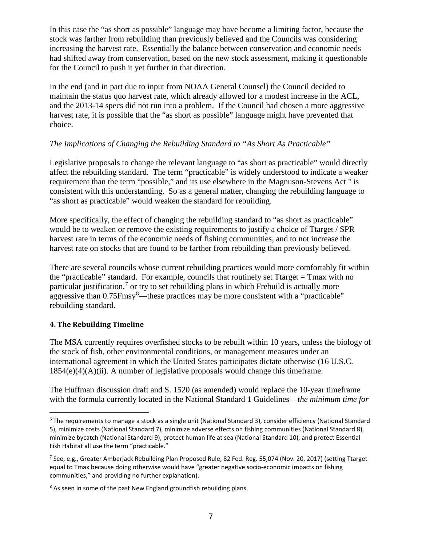In this case the "as short as possible" language may have become a limiting factor, because the stock was farther from rebuilding than previously believed and the Councils was considering increasing the harvest rate. Essentially the balance between conservation and economic needs had shifted away from conservation, based on the new stock assessment, making it questionable for the Council to push it yet further in that direction.

In the end (and in part due to input from NOAA General Counsel) the Council decided to maintain the status quo harvest rate, which already allowed for a modest increase in the ACL, and the 2013-14 specs did not run into a problem. If the Council had chosen a more aggressive harvest rate, it is possible that the "as short as possible" language might have prevented that choice.

### *The Implications of Changing the Rebuilding Standard to "As Short As Practicable"*

Legislative proposals to change the relevant language to "as short as practicable" would directly affect the rebuilding standard. The term "practicable" is widely understood to indicate a weaker requirement than the term "possible," and its use elsewhere in the Magnuson-Stevens Act  $6$  is consistent with this understanding. So as a general matter, changing the rebuilding language to "as short as practicable" would weaken the standard for rebuilding.

More specifically, the effect of changing the rebuilding standard to "as short as practicable" would be to weaken or remove the existing requirements to justify a choice of Ttarget / SPR harvest rate in terms of the economic needs of fishing communities, and to not increase the harvest rate on stocks that are found to be farther from rebuilding than previously believed.

There are several councils whose current rebuilding practices would more comfortably fit within the "practicable" standard. For example, councils that routinely set Ttarget = Tmax with no particular justification,<sup>[7](#page-6-1)</sup> or try to set rebuilding plans in which Frebuild is actually more aggressive than 0.75Fmsy<sup>[8](#page-6-2)</sup>—these practices may be more consistent with a "practicable" rebuilding standard.

### **4. The Rebuilding Timeline**

The MSA currently requires overfished stocks to be rebuilt within 10 years, unless the biology of the stock of fish, other environmental conditions, or management measures under an international agreement in which the United States participates dictate otherwise (16 U.S.C.  $1854(e)(4)(A)(ii)$ . A number of legislative proposals would change this timeframe.

The Huffman discussion draft and S. 1520 (as amended) would replace the 10-year timeframe with the formula currently located in the National Standard 1 Guidelines—*the minimum time for* 

<span id="page-6-0"></span><sup>&</sup>lt;sup>6</sup> The requirements to manage a stock as a single unit (National Standard 3), consider efficiency (National Standard 5), minimize costs (National Standard 7), minimize adverse effects on fishing communities (National Standard 8), minimize bycatch (National Standard 9), protect human life at sea (National Standard 10), and protect Essential Fish Habitat all use the term "practicable."

<span id="page-6-1"></span><sup>7</sup> See, e.g., Greater Amberjack Rebuilding Plan Proposed Rule, 82 Fed. Reg. 55,074 (Nov. 20, 2017) (setting Ttarget equal to Tmax because doing otherwise would have "greater negative socio-economic impacts on fishing communities," and providing no further explanation).

<span id="page-6-2"></span> $8$  As seen in some of the past New England groundfish rebuilding plans.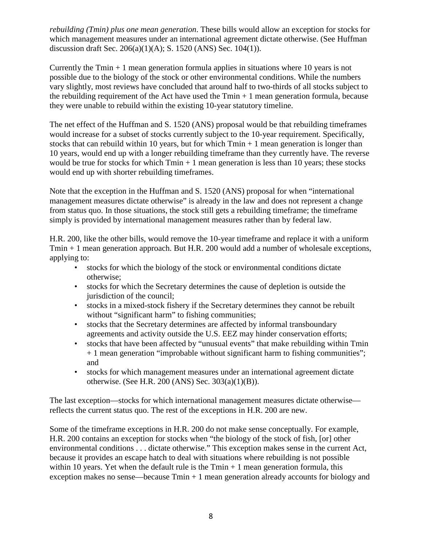*rebuilding (Tmin) plus one mean generation*. These bills would allow an exception for stocks for which management measures under an international agreement dictate otherwise. (See Huffman discussion draft Sec. 206(a)(1)(A); S. 1520 (ANS) Sec. 104(1)).

Currently the  $Tmin + 1$  mean generation formula applies in situations where 10 years is not possible due to the biology of the stock or other environmental conditions. While the numbers vary slightly, most reviews have concluded that around half to two-thirds of all stocks subject to the rebuilding requirement of the Act have used the  $Tmin + 1$  mean generation formula, because they were unable to rebuild within the existing 10-year statutory timeline.

The net effect of the Huffman and S. 1520 (ANS) proposal would be that rebuilding timeframes would increase for a subset of stocks currently subject to the 10-year requirement. Specifically, stocks that can rebuild within 10 years, but for which  $Tmin + 1$  mean generation is longer than 10 years, would end up with a longer rebuilding timeframe than they currently have. The reverse would be true for stocks for which  $Tmin + 1$  mean generation is less than 10 years; these stocks would end up with shorter rebuilding timeframes.

Note that the exception in the Huffman and S. 1520 (ANS) proposal for when "international management measures dictate otherwise" is already in the law and does not represent a change from status quo. In those situations, the stock still gets a rebuilding timeframe; the timeframe simply is provided by international management measures rather than by federal law.

H.R. 200, like the other bills, would remove the 10-year timeframe and replace it with a uniform Tmin + 1 mean generation approach. But H.R. 200 would add a number of wholesale exceptions, applying to:

- stocks for which the biology of the stock or environmental conditions dictate otherwise;
- stocks for which the Secretary determines the cause of depletion is outside the jurisdiction of the council;
- stocks in a mixed-stock fishery if the Secretary determines they cannot be rebuilt without "significant harm" to fishing communities;
- stocks that the Secretary determines are affected by informal transboundary agreements and activity outside the U.S. EEZ may hinder conservation efforts;
- stocks that have been affected by "unusual events" that make rebuilding within Tmin + 1 mean generation "improbable without significant harm to fishing communities"; and
- stocks for which management measures under an international agreement dictate otherwise. (See H.R. 200 (ANS) Sec. 303(a)(1)(B)).

The last exception—stocks for which international management measures dictate otherwise reflects the current status quo. The rest of the exceptions in H.R. 200 are new.

Some of the timeframe exceptions in H.R. 200 do not make sense conceptually. For example, H.R. 200 contains an exception for stocks when "the biology of the stock of fish, [or] other environmental conditions . . . dictate otherwise." This exception makes sense in the current Act, because it provides an escape hatch to deal with situations where rebuilding is not possible within 10 years. Yet when the default rule is the  $Tmin + 1$  mean generation formula, this exception makes no sense—because  $Tmin + 1$  mean generation already accounts for biology and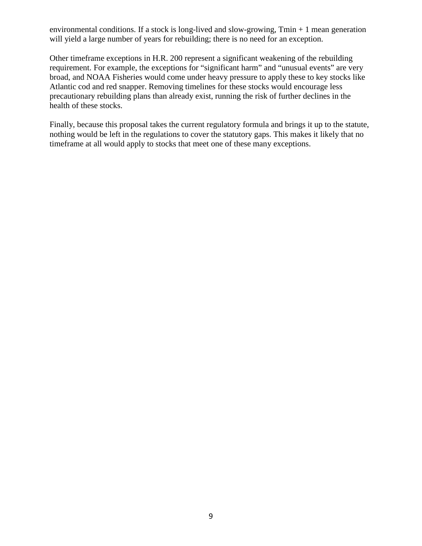environmental conditions. If a stock is long-lived and slow-growing,  $Tmin + 1$  mean generation will yield a large number of years for rebuilding; there is no need for an exception.

Other timeframe exceptions in H.R. 200 represent a significant weakening of the rebuilding requirement. For example, the exceptions for "significant harm" and "unusual events" are very broad, and NOAA Fisheries would come under heavy pressure to apply these to key stocks like Atlantic cod and red snapper. Removing timelines for these stocks would encourage less precautionary rebuilding plans than already exist, running the risk of further declines in the health of these stocks.

Finally, because this proposal takes the current regulatory formula and brings it up to the statute, nothing would be left in the regulations to cover the statutory gaps. This makes it likely that no timeframe at all would apply to stocks that meet one of these many exceptions.